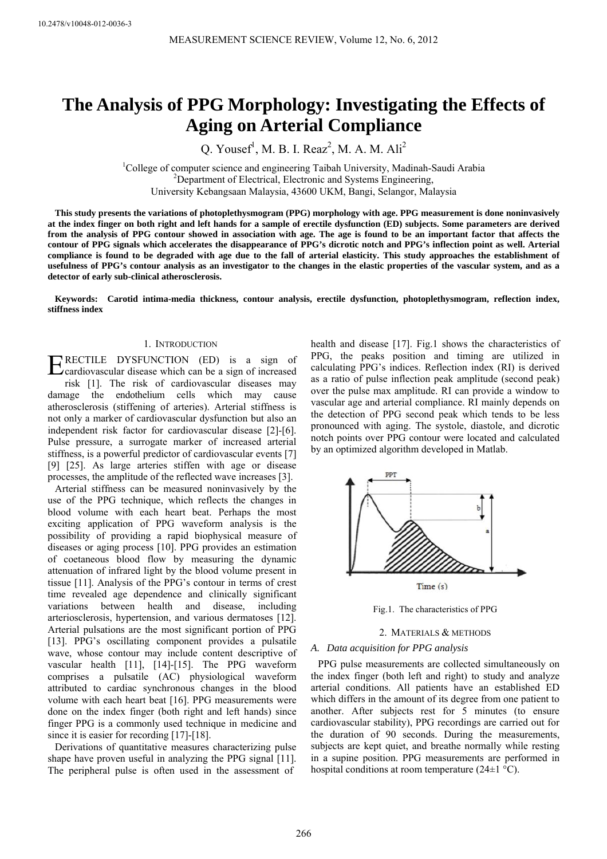# **The Analysis of PPG Morphology: Investigating the Effects of Aging on Arterial Compliance**

Q. Yousef<sup>1</sup>, M. B. I. Reaz<sup>2</sup>, M. A. M. Ali<sup>2</sup>

<sup>1</sup>College of computer science and engineering Taibah University, Madinah-Saudi Arabia <sup>2</sup>Department of Electrical Electronic and Systems Engineering <sup>2</sup>Department of Electrical, Electronic and Systems Engineering, University Kebangsaan Malaysia, 43600 UKM, Bangi, Selangor, Malaysia

**This study presents the variations of photoplethysmogram (PPG) morphology with age. PPG measurement is done noninvasively at the index finger on both right and left hands for a sample of erectile dysfunction (ED) subjects. Some parameters are derived from the analysis of PPG contour showed in association with age. The age is found to be an important factor that affects the contour of PPG signals which accelerates the disappearance of PPG's dicrotic notch and PPG's inflection point as well. Arterial compliance is found to be degraded with age due to the fall of arterial elasticity. This study approaches the establishment of usefulness of PPG's contour analysis as an investigator to the changes in the elastic properties of the vascular system, and as a detector of early sub-clinical atherosclerosis.** 

**Keywords: Carotid intima-media thickness, contour analysis, erectile dysfunction, photoplethysmogram, reflection index, stiffness index** 

## 1. INTRODUCTION

EXECTILE DYSFUNCTION (ED) is a sign of cardiovascular disease which can be a sign of increased cardiovascular disease which can be a sign of increased risk [1]. The risk of cardiovascular diseases may damage the endothelium cells which may cause atherosclerosis (stiffening of arteries). Arterial stiffness is not only a marker of cardiovascular dysfunction but also an independent risk factor for cardiovascular disease [2]-[6]. Pulse pressure, a surrogate marker of increased arterial stiffness, is a powerful predictor of cardiovascular events [7] [9] [25]. As large arteries stiffen with age or disease processes, the amplitude of the reflected wave increases [3].

Arterial stiffness can be measured noninvasively by the use of the PPG technique, which reflects the changes in blood volume with each heart beat. Perhaps the most exciting application of PPG waveform analysis is the possibility of providing a rapid biophysical measure of diseases or aging process [10]. PPG provides an estimation of coetaneous blood flow by measuring the dynamic attenuation of infrared light by the blood volume present in tissue [11]. Analysis of the PPG's contour in terms of crest time revealed age dependence and clinically significant variations between health and disease, including arteriosclerosis, hypertension, and various dermatoses [12]. Arterial pulsations are the most significant portion of PPG [13]. PPG's oscillating component provides a pulsatile wave, whose contour may include content descriptive of vascular health [11], [14]-[15]. The PPG waveform comprises a pulsatile (AC) physiological waveform attributed to cardiac synchronous changes in the blood volume with each heart beat [16]. PPG measurements were done on the index finger (both right and left hands) since finger PPG is a commonly used technique in medicine and since it is easier for recording [17]-[18].

Derivations of quantitative measures characterizing pulse shape have proven useful in analyzing the PPG signal [11]. The peripheral pulse is often used in the assessment of

health and disease [17]. Fig.1 shows the characteristics of PPG, the peaks position and timing are utilized in calculating PPG's indices. Reflection index (RI) is derived as a ratio of pulse inflection peak amplitude (second peak) over the pulse max amplitude. RI can provide a window to vascular age and arterial compliance. RI mainly depends on the detection of PPG second peak which tends to be less pronounced with aging. The systole, diastole, and dicrotic notch points over PPG contour were located and calculated by an optimized algorithm developed in Matlab.



Fig.1. The characteristics of PPG

#### 2. MATERIALS & METHODS

#### *A. Data acquisition for PPG analysis*

PPG pulse measurements are collected simultaneously on the index finger (both left and right) to study and analyze arterial conditions. All patients have an established ED which differs in the amount of its degree from one patient to another. After subjects rest for 5 minutes (to ensure cardiovascular stability), PPG recordings are carried out for the duration of 90 seconds. During the measurements, subjects are kept quiet, and breathe normally while resting in a supine position. PPG measurements are performed in hospital conditions at room temperature (24 $\pm$ 1 °C).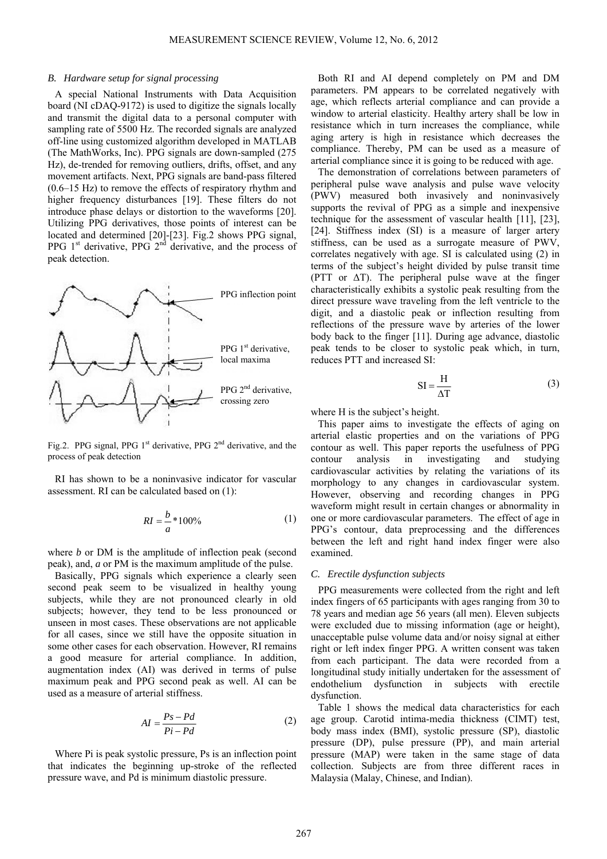## *B. Hardware setup for signal processing*

A special National Instruments with Data Acquisition board (NI cDAQ-9172) is used to digitize the signals locally and transmit the digital data to a personal computer with sampling rate of 5500 Hz. The recorded signals are analyzed off-line using customized algorithm developed in MATLAB (The MathWorks, Inc). PPG signals are down-sampled (275 Hz), de-trended for removing outliers, drifts, offset, and any movement artifacts. Next, PPG signals are band-pass filtered (0.6–15 Hz) to remove the effects of respiratory rhythm and higher frequency disturbances [19]. These filters do not introduce phase delays or distortion to the waveforms [20]. Utilizing PPG derivatives, those points of interest can be located and determined [20]-[23]. Fig.2 shows PPG signal, PPG  $1<sup>st</sup>$  derivative, PPG  $2<sup>nd</sup>$  derivative, and the process of peak detection.



Fig.2. PPG signal, PPG  $1<sup>st</sup>$  derivative, PPG  $2<sup>nd</sup>$  derivative, and the process of peak detection

RI has shown to be a noninvasive indicator for vascular assessment. RI can be calculated based on (1):

$$
RI = \frac{b}{a} * 100\% \tag{1}
$$

where *b* or DM is the amplitude of inflection peak (second peak), and, *a* or PM is the maximum amplitude of the pulse.

Basically, PPG signals which experience a clearly seen second peak seem to be visualized in healthy young subjects, while they are not pronounced clearly in old subjects; however, they tend to be less pronounced or unseen in most cases. These observations are not applicable for all cases, since we still have the opposite situation in some other cases for each observation. However, RI remains a good measure for arterial compliance. In addition, augmentation index (AI) was derived in terms of pulse maximum peak and PPG second peak as well. AI can be used as a measure of arterial stiffness.

$$
AI = \frac{Ps - Pd}{Pi - Pd} \tag{2}
$$

Where Pi is peak systolic pressure, Ps is an inflection point that indicates the beginning up-stroke of the reflected pressure wave, and Pd is minimum diastolic pressure.

Both RI and AI depend completely on PM and DM parameters. PM appears to be correlated negatively with age, which reflects arterial compliance and can provide a window to arterial elasticity. Healthy artery shall be low in resistance which in turn increases the compliance, while aging artery is high in resistance which decreases the compliance. Thereby, PM can be used as a measure of arterial compliance since it is going to be reduced with age.

The demonstration of correlations between parameters of peripheral pulse wave analysis and pulse wave velocity (PWV) measured both invasively and noninvasively supports the revival of PPG as a simple and inexpensive technique for the assessment of vascular health [11], [23], [24]. Stiffness index (SI) is a measure of larger artery stiffness, can be used as a surrogate measure of PWV, correlates negatively with age. SI is calculated using (2) in terms of the subject's height divided by pulse transit time (PTT or  $\Delta T$ ). The peripheral pulse wave at the finger characteristically exhibits a systolic peak resulting from the direct pressure wave traveling from the left ventricle to the digit, and a diastolic peak or inflection resulting from reflections of the pressure wave by arteries of the lower body back to the finger [11]. During age advance, diastolic peak tends to be closer to systolic peak which, in turn, reduces PTT and increased SI:

$$
SI = \frac{H}{\Delta T}
$$
 (3)

where H is the subject's height.

This paper aims to investigate the effects of aging on arterial elastic properties and on the variations of PPG contour as well. This paper reports the usefulness of PPG contour analysis in investigating and studying cardiovascular activities by relating the variations of its morphology to any changes in cardiovascular system. However, observing and recording changes in PPG waveform might result in certain changes or abnormality in one or more cardiovascular parameters. The effect of age in PPG's contour, data preprocessing and the differences between the left and right hand index finger were also examined.

#### *C. Erectile dysfunction subjects*

PPG measurements were collected from the right and left index fingers of 65 participants with ages ranging from 30 to 78 years and median age 56 years (all men). Eleven subjects were excluded due to missing information (age or height), unacceptable pulse volume data and/or noisy signal at either right or left index finger PPG. A written consent was taken from each participant. The data were recorded from a longitudinal study initially undertaken for the assessment of endothelium dysfunction in subjects with erectile dysfunction.

Table 1 shows the medical data characteristics for each age group. Carotid intima-media thickness (CIMT) test, body mass index (BMI), systolic pressure (SP), diastolic pressure (DP), pulse pressure (PP), and main arterial pressure (MAP) were taken in the same stage of data collection. Subjects are from three different races in Malaysia (Malay, Chinese, and Indian).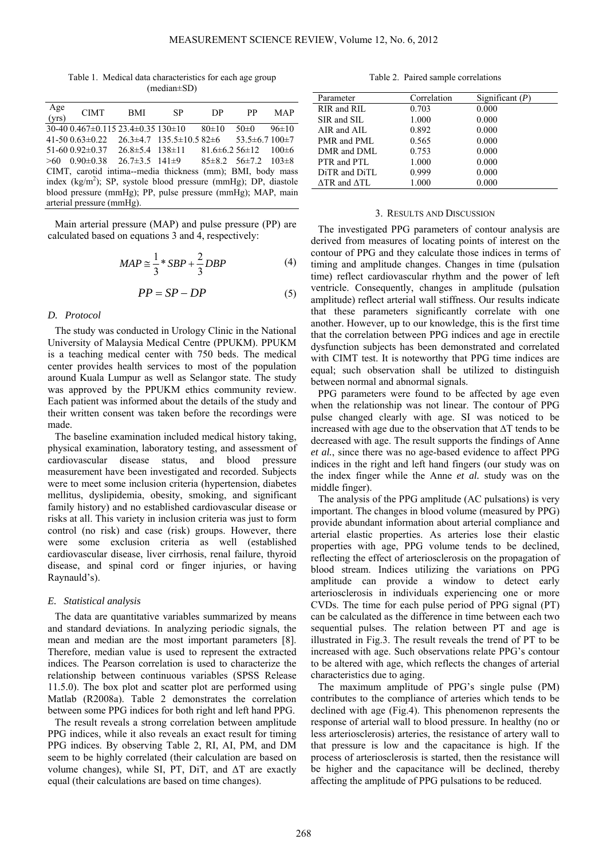Table 1. Medical data characteristics for each age group (median±SD)

| Age<br>(yrs)                                                      | <b>CIMT</b>                                                                            | BMI | <b>SP</b> | DP                                                    | <b>PP</b> | <b>MAP</b>  |  |  |
|-------------------------------------------------------------------|----------------------------------------------------------------------------------------|-----|-----------|-------------------------------------------------------|-----------|-------------|--|--|
|                                                                   | $30-40$ $0.467\pm0.115$ $23.4\pm0.35$ $130\pm10$                                       |     |           | 80±10                                                 | $50\pm0$  | $96\pm10$   |  |  |
|                                                                   | $41-500.63 \pm 0.22$                                                                   |     |           | $26.3\pm4.7$ $135.5\pm10.582\pm6$ $53.5\pm6.7100\pm7$ |           |             |  |  |
|                                                                   | $51-600.92\pm0.37$ $26.8\pm5.4$ $138\pm11$                                             |     |           | $81.6 \pm 6.256 \pm 12$                               |           | $100 \pm 6$ |  |  |
|                                                                   | $>60$ 0.90 $\pm$ 0.38 26.7 $\pm$ 3.5 141 $\pm$ 9 85 $\pm$ 8.2 56 $\pm$ 7.2 103 $\pm$ 8 |     |           |                                                       |           |             |  |  |
|                                                                   | CIMT, carotid intima--media thickness (mm); BMI, body mass                             |     |           |                                                       |           |             |  |  |
| index $(kg/m2)$ ; SP, systole blood pressure (mmHg); DP, diastole |                                                                                        |     |           |                                                       |           |             |  |  |
| blood pressure (mmHg); PP, pulse pressure (mmHg); MAP, main       |                                                                                        |     |           |                                                       |           |             |  |  |
| arterial pressure (mmHg).                                         |                                                                                        |     |           |                                                       |           |             |  |  |

Main arterial pressure (MAP) and pulse pressure (PP) are calculated based on equations 3 and 4, respectively:

$$
MAP \cong \frac{1}{3} * SBP + \frac{2}{3} DBP \tag{4}
$$

$$
PP = SP - DP \tag{5}
$$

#### *D. Protocol*

The study was conducted in Urology Clinic in the National University of Malaysia Medical Centre (PPUKM). PPUKM is a teaching medical center with 750 beds. The medical center provides health services to most of the population around Kuala Lumpur as well as Selangor state. The study was approved by the PPUKM ethics community review. Each patient was informed about the details of the study and their written consent was taken before the recordings were made.

The baseline examination included medical history taking, physical examination, laboratory testing, and assessment of cardiovascular disease status, and blood pressure measurement have been investigated and recorded. Subjects were to meet some inclusion criteria (hypertension, diabetes mellitus, dyslipidemia, obesity, smoking, and significant family history) and no established cardiovascular disease or risks at all. This variety in inclusion criteria was just to form control (no risk) and case (risk) groups. However, there were some exclusion criteria as well (established cardiovascular disease, liver cirrhosis, renal failure, thyroid disease, and spinal cord or finger injuries, or having Raynauld's).

#### *E. Statistical analysis*

The data are quantitative variables summarized by means and standard deviations. In analyzing periodic signals, the mean and median are the most important parameters [8]. Therefore, median value is used to represent the extracted indices. The Pearson correlation is used to characterize the relationship between continuous variables (SPSS Release 11.5.0). The box plot and scatter plot are performed using Matlab (R2008a). Table 2 demonstrates the correlation between some PPG indices for both right and left hand PPG.

The result reveals a strong correlation between amplitude PPG indices, while it also reveals an exact result for timing PPG indices. By observing Table 2, RI, AI, PM, and DM seem to be highly correlated (their calculation are based on volume changes), while SI, PT, DiT, and  $\Delta T$  are exactly equal (their calculations are based on time changes).

Table 2. Paired sample correlations

| Parameter                         | Correlation | Significant $(P)$ |  |
|-----------------------------------|-------------|-------------------|--|
| RIR and RIL                       | 0.703       | 0.000             |  |
| SIR and SIL                       | 1.000       | 0.000             |  |
| $AIR$ and $AIL$                   | 0.892       | 0.000             |  |
| PMR and PML                       | 0.565       | 0.000             |  |
| DMR and DML                       | 0.753       | 0.000             |  |
| PTR and PTL                       | 1.000       | 0.000             |  |
| DiTR and DiTL                     | 0.999       | 0.000             |  |
| $\triangle$ TR and $\triangle$ TL | 1.000       | 0.000             |  |

#### 3. RESULTS AND DISCUSSION

The investigated PPG parameters of contour analysis are derived from measures of locating points of interest on the contour of PPG and they calculate those indices in terms of timing and amplitude changes. Changes in time (pulsation time) reflect cardiovascular rhythm and the power of left ventricle. Consequently, changes in amplitude (pulsation amplitude) reflect arterial wall stiffness. Our results indicate that these parameters significantly correlate with one another. However, up to our knowledge, this is the first time that the correlation between PPG indices and age in erectile dysfunction subjects has been demonstrated and correlated with CIMT test. It is noteworthy that PPG time indices are equal; such observation shall be utilized to distinguish between normal and abnormal signals.

PPG parameters were found to be affected by age even when the relationship was not linear. The contour of PPG pulse changed clearly with age. SI was noticed to be increased with age due to the observation that ∆T tends to be decreased with age. The result supports the findings of Anne *et al.*, since there was no age-based evidence to affect PPG indices in the right and left hand fingers (our study was on the index finger while the Anne *et al.* study was on the middle finger).

The analysis of the PPG amplitude (AC pulsations) is very important. The changes in blood volume (measured by PPG) provide abundant information about arterial compliance and arterial elastic properties. As arteries lose their elastic properties with age, PPG volume tends to be declined, reflecting the effect of arteriosclerosis on the propagation of blood stream. Indices utilizing the variations on PPG amplitude can provide a window to detect early arteriosclerosis in individuals experiencing one or more CVDs. The time for each pulse period of PPG signal (PT) can be calculated as the difference in time between each two sequential pulses. The relation between PT and age is illustrated in Fig.3. The result reveals the trend of PT to be increased with age. Such observations relate PPG's contour to be altered with age, which reflects the changes of arterial characteristics due to aging.

The maximum amplitude of PPG's single pulse (PM) contributes to the compliance of arteries which tends to be declined with age (Fig.4). This phenomenon represents the response of arterial wall to blood pressure. In healthy (no or less arteriosclerosis) arteries, the resistance of artery wall to that pressure is low and the capacitance is high. If the process of arteriosclerosis is started, then the resistance will be higher and the capacitance will be declined, thereby affecting the amplitude of PPG pulsations to be reduced.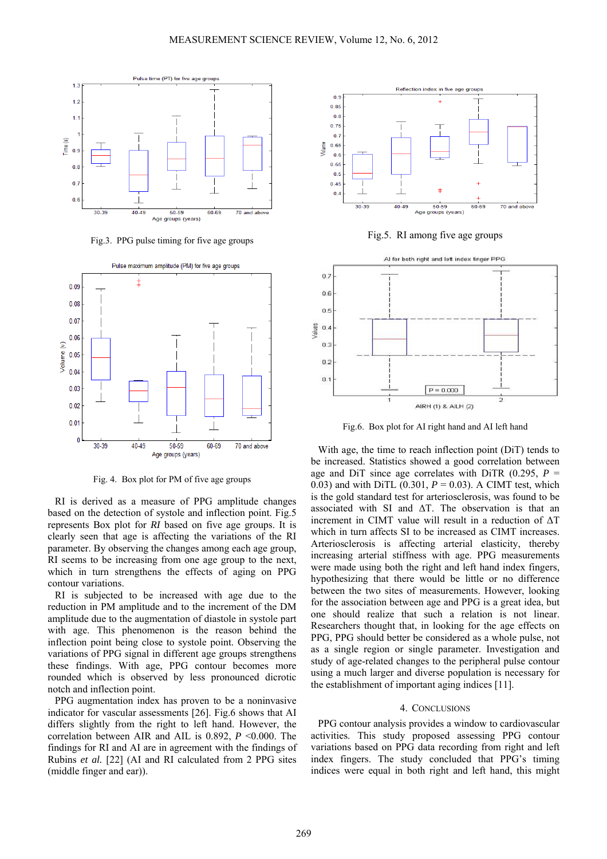

Fig.3. PPG pulse timing for five age groups



Fig. 4. Box plot for PM of five age groups

RI is derived as a measure of PPG amplitude changes based on the detection of systole and inflection point. Fig.5 represents Box plot for *RI* based on five age groups. It is clearly seen that age is affecting the variations of the RI parameter. By observing the changes among each age group, RI seems to be increasing from one age group to the next, which in turn strengthens the effects of aging on PPG contour variations.

RI is subjected to be increased with age due to the reduction in PM amplitude and to the increment of the DM amplitude due to the augmentation of diastole in systole part with age. This phenomenon is the reason behind the inflection point being close to systole point. Observing the variations of PPG signal in different age groups strengthens these findings. With age, PPG contour becomes more rounded which is observed by less pronounced dicrotic notch and inflection point.

PPG augmentation index has proven to be a noninvasive indicator for vascular assessments [26]. Fig.6 shows that AI differs slightly from the right to left hand. However, the correlation between AIR and AIL is 0.892, *P* <0.000. The findings for RI and AI are in agreement with the findings of Rubins *et al.* [22] (AI and RI calculated from 2 PPG sites (middle finger and ear)).



Fig.5. RI among five age groups



Fig.6. Box plot for AI right hand and AI left hand

With age, the time to reach inflection point (DiT) tends to be increased. Statistics showed a good correlation between age and DiT since age correlates with DiTR  $(0.295, P =$ 0.03) and with DiTL (0.301, *P* = 0.03). A CIMT test, which is the gold standard test for arteriosclerosis, was found to be associated with SI and ΔT. The observation is that an increment in CIMT value will result in a reduction of ΔT which in turn affects SI to be increased as CIMT increases. Arteriosclerosis is affecting arterial elasticity, thereby increasing arterial stiffness with age. PPG measurements were made using both the right and left hand index fingers, hypothesizing that there would be little or no difference between the two sites of measurements. However, looking for the association between age and PPG is a great idea, but one should realize that such a relation is not linear. Researchers thought that, in looking for the age effects on PPG, PPG should better be considered as a whole pulse, not as a single region or single parameter. Investigation and study of age-related changes to the peripheral pulse contour using a much larger and diverse population is necessary for the establishment of important aging indices [11].

### 4. CONCLUSIONS

PPG contour analysis provides a window to cardiovascular activities. This study proposed assessing PPG contour variations based on PPG data recording from right and left index fingers. The study concluded that PPG's timing indices were equal in both right and left hand, this might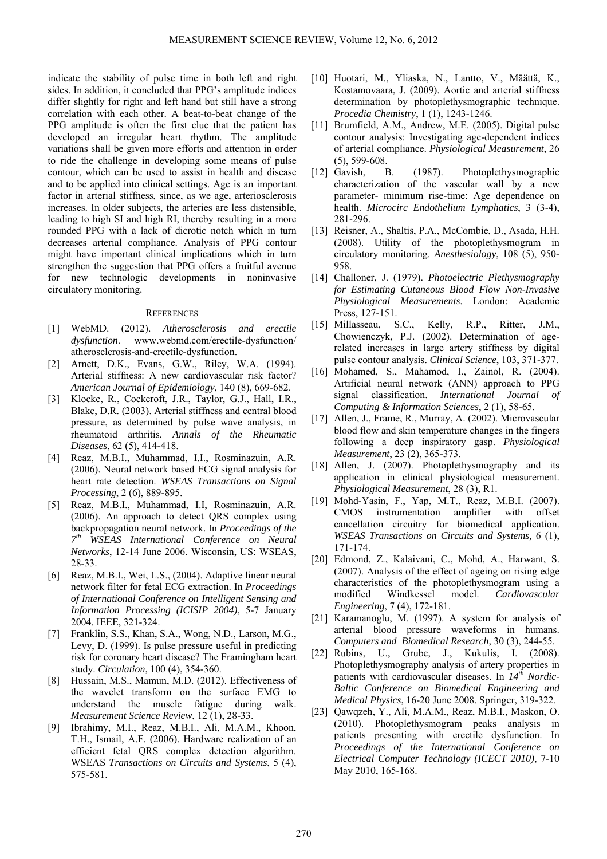indicate the stability of pulse time in both left and right sides. In addition, it concluded that PPG's amplitude indices differ slightly for right and left hand but still have a strong correlation with each other. A beat-to-beat change of the PPG amplitude is often the first clue that the patient has developed an irregular heart rhythm. The amplitude variations shall be given more efforts and attention in order to ride the challenge in developing some means of pulse contour, which can be used to assist in health and disease and to be applied into clinical settings. Age is an important factor in arterial stiffness, since, as we age, arteriosclerosis increases. In older subjects, the arteries are less distensible, leading to high SI and high RI, thereby resulting in a more rounded PPG with a lack of dicrotic notch which in turn decreases arterial compliance. Analysis of PPG contour might have important clinical implications which in turn strengthen the suggestion that PPG offers a fruitful avenue for new technologic developments in noninvasive circulatory monitoring.

#### **REFERENCES**

- [1] WebMD. (2012). *Atherosclerosis and erectile dysfunction*. www.webmd.com/erectile-dysfunction/ atherosclerosis-and-erectile-dysfunction.
- [2] Arnett, D.K., Evans, G.W., Riley, W.A. (1994). Arterial stiffness: A new cardiovascular risk factor? *American Journal of Epidemiology*, 140 (8), 669-682.
- [3] Klocke, R., Cockcroft, J.R., Taylor, G.J., Hall, I.R., Blake, D.R. (2003). Arterial stiffness and central blood pressure, as determined by pulse wave analysis, in rheumatoid arthritis. *Annals of the Rheumatic Diseases*, 62 (5), 414-418.
- [4] Reaz, M.B.I., Muhammad, I.I., Rosminazuin, A.R. (2006). Neural network based ECG signal analysis for heart rate detection. *WSEAS Transactions on Signal Processing*, 2 (6), 889-895.
- [5] Reaz, M.B.I., Muhammad, I.I, Rosminazuin, A.R. (2006). An approach to detect QRS complex using backpropagation neural network. In *Proceedings of the 7th WSEAS International Conference on Neural Networks*, 12-14 June 2006. Wisconsin, US: WSEAS, 28-33.
- [6] Reaz, M.B.I., Wei, L.S., (2004). Adaptive linear neural network filter for fetal ECG extraction. In *Proceedings of International Conference on Intelligent Sensing and Information Processing (ICISIP 2004)*, 5-7 January 2004. IEEE, 321-324.
- [7] Franklin, S.S., Khan, S.A., Wong, N.D., Larson, M.G., Levy, D. (1999). Is pulse pressure useful in predicting risk for coronary heart disease? The Framingham heart study. *Circulation*, 100 (4), 354-360.
- [8] Hussain, M.S., Mamun, M.D. (2012). Effectiveness of the wavelet transform on the surface EMG to understand the muscle fatigue during walk. *Measurement Science Review*, 12 (1), 28-33.
- [9] Ibrahimy, M.I., Reaz, M.B.I., Ali, M.A.M., Khoon, T.H., Ismail, A.F. (2006). Hardware realization of an efficient fetal QRS complex detection algorithm. WSEAS *Transactions on Circuits and Systems*, 5 (4), 575-581.
- [10] Huotari, M., Yliaska, N., Lantto, V., Määttä, K., Kostamovaara, J. (2009). Aortic and arterial stiffness determination by photoplethysmographic technique. *Procedia Chemistry*, 1 (1), 1243-1246.
- [11] Brumfield, A.M., Andrew, M.E. (2005). Digital pulse contour analysis: Investigating age-dependent indices of arterial compliance. *Physiological Measurement*, 26 (5), 599-608.
- [12] Gavish, B. (1987). Photoplethysmographic characterization of the vascular wall by a new parameter- minimum rise-time: Age dependence on health. *Microcirc Endothelium Lymphatics*, 3 (3-4), 281-296.
- [13] Reisner, A., Shaltis, P.A., McCombie, D., Asada, H.H. (2008). Utility of the photoplethysmogram in circulatory monitoring. *Anesthesiology*, 108 (5), 950- 958.
- [14] Challoner, J. (1979). *Photoelectric Plethysmography for Estimating Cutaneous Blood Flow Non-Invasive Physiological Measurements*. London: Academic Press, 127-151.
- [15] Millasseau, S.C., Kelly, R.P., Ritter, J.M., Chowienczyk, P.J. (2002). Determination of agerelated increases in large artery stiffness by digital pulse contour analysis. *Clinical Science*, 103, 371-377.
- [16] Mohamed, S., Mahamod, I., Zainol, R. (2004). Artificial neural network (ANN) approach to PPG signal classification. *International Journal of Computing & Information Sciences*, 2 (1), 58-65.
- [17] Allen, J., Frame, R., Murray, A. (2002). Microvascular blood flow and skin temperature changes in the fingers following a deep inspiratory gasp. *Physiological Measurement*, 23 (2), 365-373.
- [18] Allen, J. (2007). Photoplethysmography and its application in clinical physiological measurement. *Physiological Measurement*, 28 (3), R1.
- [19] Mohd-Yasin, F., Yap, M.T., Reaz, M.B.I. (2007). CMOS instrumentation amplifier with offset cancellation circuitry for biomedical application. *WSEAS Transactions on Circuits and Systems,* 6 (1), 171-174.
- [20] Edmond, Z., Kalaivani, C., Mohd, A., Harwant, S. (2007). Analysis of the effect of ageing on rising edge characteristics of the photoplethysmogram using a modified Windkessel model. *Cardiovascular Engineering*, 7 (4), 172-181.
- [21] Karamanoglu, M. (1997). A system for analysis of arterial blood pressure waveforms in humans. *Computers and Biomedical Research*, 30 (3), 244-55.
- [22] Rubins, U., Grube, J., Kukulis, I. (2008). Photoplethysmography analysis of artery properties in patients with cardiovascular diseases. In *14th Nordic-Baltic Conference on Biomedical Engineering and Medical Physics*, 16-20 June 2008. Springer, 319-322.
- [23] Qawqzeh, Y., Ali, M.A.M., Reaz, M.B.I., Maskon, O. (2010). Photoplethysmogram peaks analysis in patients presenting with erectile dysfunction. In *Proceedings of the International Conference on Electrical Computer Technology (ICECT 2010)*, 7-10 May 2010, 165-168.